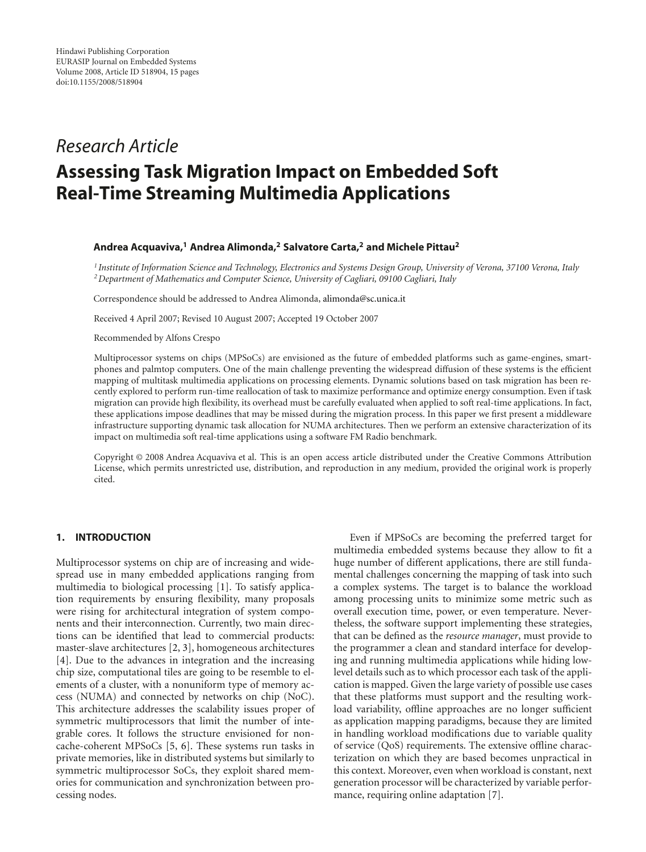## *Research Article*

# **Assessing Task Migration Impact on Embedded Soft Real-Time Streaming Multimedia Applications**

## **Andrea Acquaviva,1 Andrea Alimonda,2 Salvatore Carta,2 and Michele Pittau2**

*<sup>1</sup> Institute of Information Science and Technology, Electronics and Systems Design Group, University of Verona, 37100 Verona, Italy 2Department of Mathematics and Computer Science, University of Cagliari, 09100 Cagliari, Italy*

Correspondence should be addressed to Andrea Alimonda, alimonda@sc.unica.it

Received 4 April 2007; Revised 10 August 2007; Accepted 19 October 2007

Recommended by Alfons Crespo

Multiprocessor systems on chips (MPSoCs) are envisioned as the future of embedded platforms such as game-engines, smartphones and palmtop computers. One of the main challenge preventing the widespread diffusion of these systems is the efficient mapping of multitask multimedia applications on processing elements. Dynamic solutions based on task migration has been recently explored to perform run-time reallocation of task to maximize performance and optimize energy consumption. Even if task migration can provide high flexibility, its overhead must be carefully evaluated when applied to soft real-time applications. In fact, these applications impose deadlines that may be missed during the migration process. In this paper we first present a middleware infrastructure supporting dynamic task allocation for NUMA architectures. Then we perform an extensive characterization of its impact on multimedia soft real-time applications using a software FM Radio benchmark.

Copyright © 2008 Andrea Acquaviva et al. This is an open access article distributed under the Creative Commons Attribution License, which permits unrestricted use, distribution, and reproduction in any medium, provided the original work is properly cited.

## **1. INTRODUCTION**

Multiprocessor systems on chip are of increasing and widespread use in many embedded applications ranging from multimedia to biological processing [1]. To satisfy application requirements by ensuring flexibility, many proposals were rising for architectural integration of system components and their interconnection. Currently, two main directions can be identified that lead to commercial products: master-slave architectures [2, 3], homogeneous architectures [4]. Due to the advances in integration and the increasing chip size, computational tiles are going to be resemble to elements of a cluster, with a nonuniform type of memory access (NUMA) and connected by networks on chip (NoC). This architecture addresses the scalability issues proper of symmetric multiprocessors that limit the number of integrable cores. It follows the structure envisioned for noncache-coherent MPSoCs [5, 6]. These systems run tasks in private memories, like in distributed systems but similarly to symmetric multiprocessor SoCs, they exploit shared memories for communication and synchronization between processing nodes.

Even if MPSoCs are becoming the preferred target for multimedia embedded systems because they allow to fit a huge number of different applications, there are still fundamental challenges concerning the mapping of task into such a complex systems. The target is to balance the workload among processing units to minimize some metric such as overall execution time, power, or even temperature. Nevertheless, the software support implementing these strategies, that can be defined as the *resource manager*, must provide to the programmer a clean and standard interface for developing and running multimedia applications while hiding lowlevel details such as to which processor each task of the application is mapped. Given the large variety of possible use cases that these platforms must support and the resulting workload variability, offline approaches are no longer sufficient as application mapping paradigms, because they are limited in handling workload modifications due to variable quality of service (QoS) requirements. The extensive offline characterization on which they are based becomes unpractical in this context. Moreover, even when workload is constant, next generation processor will be characterized by variable performance, requiring online adaptation [7].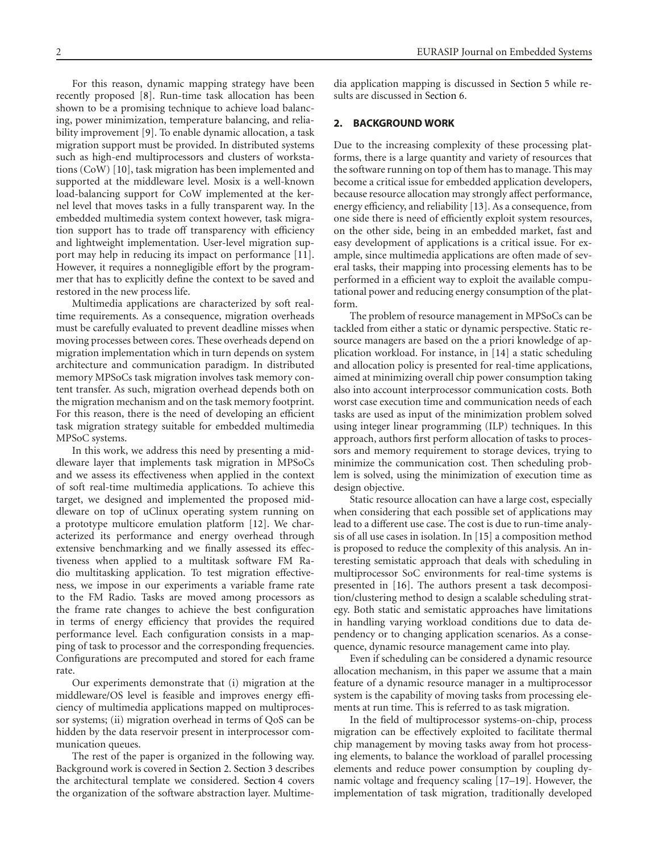For this reason, dynamic mapping strategy have been recently proposed [8]. Run-time task allocation has been shown to be a promising technique to achieve load balancing, power minimization, temperature balancing, and reliability improvement [9]. To enable dynamic allocation, a task migration support must be provided. In distributed systems such as high-end multiprocessors and clusters of workstations (CoW) [10], task migration has been implemented and supported at the middleware level. Mosix is a well-known load-balancing support for CoW implemented at the kernel level that moves tasks in a fully transparent way. In the embedded multimedia system context however, task migration support has to trade off transparency with efficiency and lightweight implementation. User-level migration support may help in reducing its impact on performance [11]. However, it requires a nonnegligible effort by the programmer that has to explicitly define the context to be saved and restored in the new process life.

Multimedia applications are characterized by soft realtime requirements. As a consequence, migration overheads must be carefully evaluated to prevent deadline misses when moving processes between cores. These overheads depend on migration implementation which in turn depends on system architecture and communication paradigm. In distributed memory MPSoCs task migration involves task memory content transfer. As such, migration overhead depends both on the migration mechanism and on the task memory footprint. For this reason, there is the need of developing an efficient task migration strategy suitable for embedded multimedia MPSoC systems.

In this work, we address this need by presenting a middleware layer that implements task migration in MPSoCs and we assess its effectiveness when applied in the context of soft real-time multimedia applications. To achieve this target, we designed and implemented the proposed middleware on top of uClinux operating system running on a prototype multicore emulation platform [12]. We characterized its performance and energy overhead through extensive benchmarking and we finally assessed its effectiveness when applied to a multitask software FM Radio multitasking application. To test migration effectiveness, we impose in our experiments a variable frame rate to the FM Radio. Tasks are moved among processors as the frame rate changes to achieve the best configuration in terms of energy efficiency that provides the required performance level. Each configuration consists in a mapping of task to processor and the corresponding frequencies. Configurations are precomputed and stored for each frame rate.

Our experiments demonstrate that (i) migration at the middleware/OS level is feasible and improves energy efficiency of multimedia applications mapped on multiprocessor systems; (ii) migration overhead in terms of QoS can be hidden by the data reservoir present in interprocessor communication queues.

The rest of the paper is organized in the following way. Background work is covered in Section 2. Section 3 describes the architectural template we considered. Section 4 covers the organization of the software abstraction layer. Multimedia application mapping is discussed in Section 5 while results are discussed in Section 6.

## **2. BACKGROUND WORK**

Due to the increasing complexity of these processing platforms, there is a large quantity and variety of resources that the software running on top of them has to manage. This may become a critical issue for embedded application developers, because resource allocation may strongly affect performance, energy efficiency, and reliability [13]. As a consequence, from one side there is need of efficiently exploit system resources, on the other side, being in an embedded market, fast and easy development of applications is a critical issue. For example, since multimedia applications are often made of several tasks, their mapping into processing elements has to be performed in a efficient way to exploit the available computational power and reducing energy consumption of the platform.

The problem of resource management in MPSoCs can be tackled from either a static or dynamic perspective. Static resource managers are based on the a priori knowledge of application workload. For instance, in [14] a static scheduling and allocation policy is presented for real-time applications, aimed at minimizing overall chip power consumption taking also into account interprocessor communication costs. Both worst case execution time and communication needs of each tasks are used as input of the minimization problem solved using integer linear programming (ILP) techniques. In this approach, authors first perform allocation of tasks to processors and memory requirement to storage devices, trying to minimize the communication cost. Then scheduling problem is solved, using the minimization of execution time as design objective.

Static resource allocation can have a large cost, especially when considering that each possible set of applications may lead to a different use case. The cost is due to run-time analysis of all use cases in isolation. In [15] a composition method is proposed to reduce the complexity of this analysis. An interesting semistatic approach that deals with scheduling in multiprocessor SoC environments for real-time systems is presented in [16]. The authors present a task decomposition/clustering method to design a scalable scheduling strategy. Both static and semistatic approaches have limitations in handling varying workload conditions due to data dependency or to changing application scenarios. As a consequence, dynamic resource management came into play.

Even if scheduling can be considered a dynamic resource allocation mechanism, in this paper we assume that a main feature of a dynamic resource manager in a multiprocessor system is the capability of moving tasks from processing elements at run time. This is referred to as task migration.

In the field of multiprocessor systems-on-chip, process migration can be effectively exploited to facilitate thermal chip management by moving tasks away from hot processing elements, to balance the workload of parallel processing elements and reduce power consumption by coupling dynamic voltage and frequency scaling [17–19]. However, the implementation of task migration, traditionally developed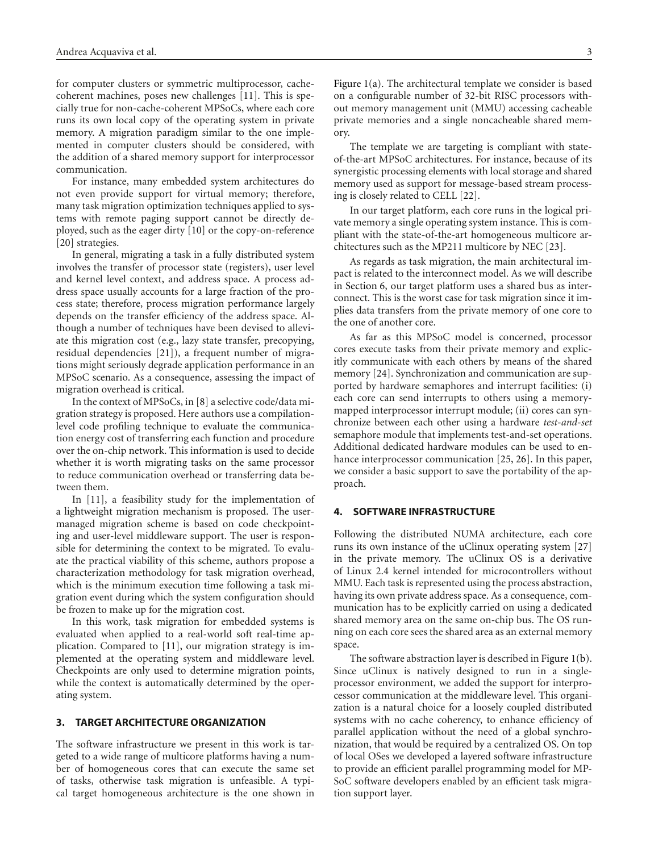for computer clusters or symmetric multiprocessor, cachecoherent machines, poses new challenges [11]. This is specially true for non-cache-coherent MPSoCs, where each core runs its own local copy of the operating system in private memory. A migration paradigm similar to the one implemented in computer clusters should be considered, with the addition of a shared memory support for interprocessor communication.

For instance, many embedded system architectures do not even provide support for virtual memory; therefore, many task migration optimization techniques applied to systems with remote paging support cannot be directly deployed, such as the eager dirty [10] or the copy-on-reference [20] strategies.

In general, migrating a task in a fully distributed system involves the transfer of processor state (registers), user level and kernel level context, and address space. A process address space usually accounts for a large fraction of the process state; therefore, process migration performance largely depends on the transfer efficiency of the address space. Although a number of techniques have been devised to alleviate this migration cost (e.g., lazy state transfer, precopying, residual dependencies [21]), a frequent number of migrations might seriously degrade application performance in an MPSoC scenario. As a consequence, assessing the impact of migration overhead is critical.

In the context of MPSoCs, in [8] a selective code/data migration strategy is proposed. Here authors use a compilationlevel code profiling technique to evaluate the communication energy cost of transferring each function and procedure over the on-chip network. This information is used to decide whether it is worth migrating tasks on the same processor to reduce communication overhead or transferring data between them.

In [11], a feasibility study for the implementation of a lightweight migration mechanism is proposed. The usermanaged migration scheme is based on code checkpointing and user-level middleware support. The user is responsible for determining the context to be migrated. To evaluate the practical viability of this scheme, authors propose a characterization methodology for task migration overhead, which is the minimum execution time following a task migration event during which the system configuration should be frozen to make up for the migration cost.

In this work, task migration for embedded systems is evaluated when applied to a real-world soft real-time application. Compared to [11], our migration strategy is implemented at the operating system and middleware level. Checkpoints are only used to determine migration points, while the context is automatically determined by the operating system.

## **3. TARGET ARCHITECTURE ORGANIZATION**

The software infrastructure we present in this work is targeted to a wide range of multicore platforms having a number of homogeneous cores that can execute the same set of tasks, otherwise task migration is unfeasible. A typical target homogeneous architecture is the one shown in

Figure 1(a). The architectural template we consider is based on a configurable number of 32-bit RISC processors without memory management unit (MMU) accessing cacheable private memories and a single noncacheable shared memory.

The template we are targeting is compliant with stateof-the-art MPSoC architectures. For instance, because of its synergistic processing elements with local storage and shared memory used as support for message-based stream processing is closely related to CELL [22].

In our target platform, each core runs in the logical private memory a single operating system instance. This is compliant with the state-of-the-art homogeneous multicore architectures such as the MP211 multicore by NEC [23].

As regards as task migration, the main architectural impact is related to the interconnect model. As we will describe in Section 6, our target platform uses a shared bus as interconnect. This is the worst case for task migration since it implies data transfers from the private memory of one core to the one of another core.

As far as this MPSoC model is concerned, processor cores execute tasks from their private memory and explicitly communicate with each others by means of the shared memory [24]. Synchronization and communication are supported by hardware semaphores and interrupt facilities: (i) each core can send interrupts to others using a memorymapped interprocessor interrupt module; (ii) cores can synchronize between each other using a hardware *test-and-set* semaphore module that implements test-and-set operations. Additional dedicated hardware modules can be used to enhance interprocessor communication [25, 26]. In this paper, we consider a basic support to save the portability of the approach.

#### **4. SOFTWARE INFRASTRUCTURE**

Following the distributed NUMA architecture, each core runs its own instance of the uClinux operating system [27] in the private memory. The uClinux OS is a derivative of Linux 2.4 kernel intended for microcontrollers without MMU. Each task is represented using the process abstraction, having its own private address space. As a consequence, communication has to be explicitly carried on using a dedicated shared memory area on the same on-chip bus. The OS running on each core sees the shared area as an external memory space.

The software abstraction layer is described in Figure 1(b). Since uClinux is natively designed to run in a singleprocessor environment, we added the support for interprocessor communication at the middleware level. This organization is a natural choice for a loosely coupled distributed systems with no cache coherency, to enhance efficiency of parallel application without the need of a global synchronization, that would be required by a centralized OS. On top of local OSes we developed a layered software infrastructure to provide an efficient parallel programming model for MP-SoC software developers enabled by an efficient task migration support layer.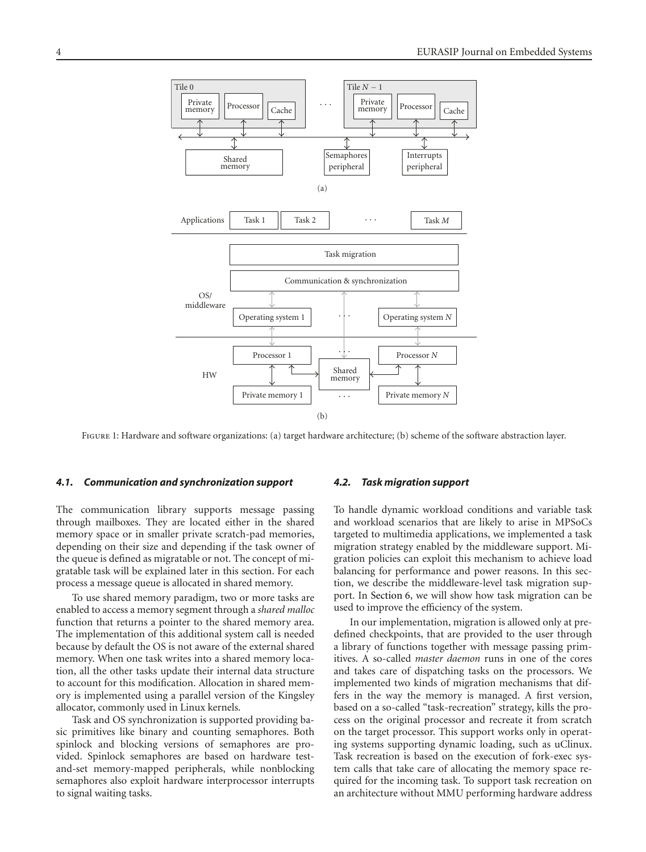

FIGURE 1: Hardware and software organizations: (a) target hardware architecture; (b) scheme of the software abstraction layer.

#### *4.1. Communication and synchronization support*

The communication library supports message passing through mailboxes. They are located either in the shared memory space or in smaller private scratch-pad memories, depending on their size and depending if the task owner of the queue is defined as migratable or not. The concept of migratable task will be explained later in this section. For each process a message queue is allocated in shared memory.

To use shared memory paradigm, two or more tasks are enabled to access a memory segment through a *shared malloc* function that returns a pointer to the shared memory area. The implementation of this additional system call is needed because by default the OS is not aware of the external shared memory. When one task writes into a shared memory location, all the other tasks update their internal data structure to account for this modification. Allocation in shared memory is implemented using a parallel version of the Kingsley allocator, commonly used in Linux kernels.

Task and OS synchronization is supported providing basic primitives like binary and counting semaphores. Both spinlock and blocking versions of semaphores are provided. Spinlock semaphores are based on hardware testand-set memory-mapped peripherals, while nonblocking semaphores also exploit hardware interprocessor interrupts to signal waiting tasks.

#### *4.2. Task migration support*

To handle dynamic workload conditions and variable task and workload scenarios that are likely to arise in MPSoCs targeted to multimedia applications, we implemented a task migration strategy enabled by the middleware support. Migration policies can exploit this mechanism to achieve load balancing for performance and power reasons. In this section, we describe the middleware-level task migration support. In Section 6, we will show how task migration can be used to improve the efficiency of the system.

In our implementation, migration is allowed only at predefined checkpoints, that are provided to the user through a library of functions together with message passing primitives. A so-called *master daemon* runs in one of the cores and takes care of dispatching tasks on the processors. We implemented two kinds of migration mechanisms that differs in the way the memory is managed. A first version, based on a so-called "task-recreation" strategy, kills the process on the original processor and recreate it from scratch on the target processor. This support works only in operating systems supporting dynamic loading, such as uClinux. Task recreation is based on the execution of fork-exec system calls that take care of allocating the memory space required for the incoming task. To support task recreation on an architecture without MMU performing hardware address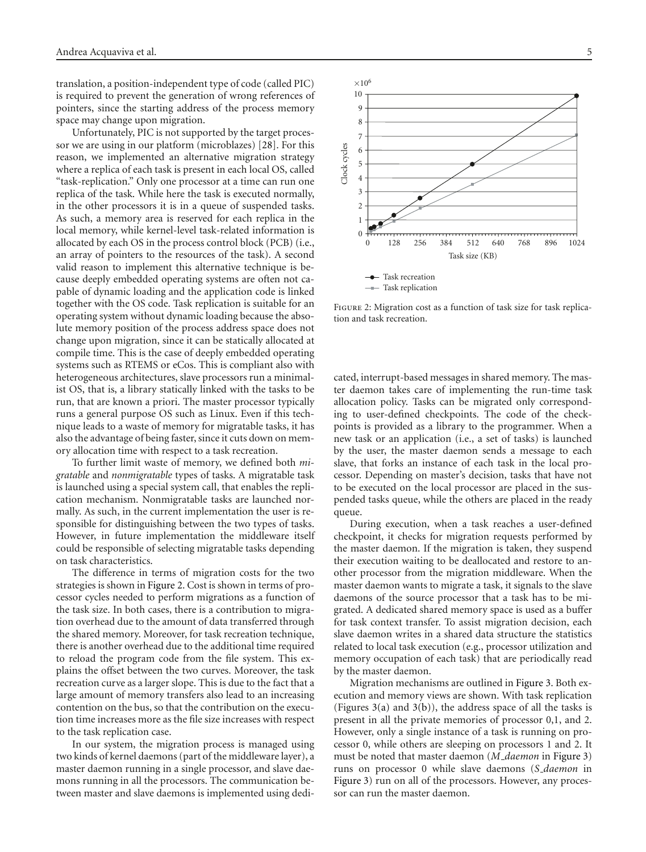translation, a position-independent type of code (called PIC) is required to prevent the generation of wrong references of pointers, since the starting address of the process memory space may change upon migration.

Unfortunately, PIC is not supported by the target processor we are using in our platform (microblazes) [28]. For this reason, we implemented an alternative migration strategy where a replica of each task is present in each local OS, called "task-replication." Only one processor at a time can run one replica of the task. While here the task is executed normally, in the other processors it is in a queue of suspended tasks. As such, a memory area is reserved for each replica in the local memory, while kernel-level task-related information is allocated by each OS in the process control block (PCB) (i.e., an array of pointers to the resources of the task). A second valid reason to implement this alternative technique is because deeply embedded operating systems are often not capable of dynamic loading and the application code is linked together with the OS code. Task replication is suitable for an operating system without dynamic loading because the absolute memory position of the process address space does not change upon migration, since it can be statically allocated at compile time. This is the case of deeply embedded operating systems such as RTEMS or eCos. This is compliant also with heterogeneous architectures, slave processors run a minimalist OS, that is, a library statically linked with the tasks to be run, that are known a priori. The master processor typically runs a general purpose OS such as Linux. Even if this technique leads to a waste of memory for migratable tasks, it has also the advantage of being faster, since it cuts down on memory allocation time with respect to a task recreation.

To further limit waste of memory, we defined both *migratable* and *nonmigratable* types of tasks. A migratable task is launched using a special system call, that enables the replication mechanism. Nonmigratable tasks are launched normally. As such, in the current implementation the user is responsible for distinguishing between the two types of tasks. However, in future implementation the middleware itself could be responsible of selecting migratable tasks depending on task characteristics.

The difference in terms of migration costs for the two strategies is shown in Figure 2. Cost is shown in terms of processor cycles needed to perform migrations as a function of the task size. In both cases, there is a contribution to migration overhead due to the amount of data transferred through the shared memory. Moreover, for task recreation technique, there is another overhead due to the additional time required to reload the program code from the file system. This explains the offset between the two curves. Moreover, the task recreation curve as a larger slope. This is due to the fact that a large amount of memory transfers also lead to an increasing contention on the bus, so that the contribution on the execution time increases more as the file size increases with respect to the task replication case.

In our system, the migration process is managed using two kinds of kernel daemons (part of the middleware layer), a master daemon running in a single processor, and slave daemons running in all the processors. The communication between master and slave daemons is implemented using dedi-



FIGURE 2: Migration cost as a function of task size for task replication and task recreation.

cated, interrupt-based messages in shared memory. The master daemon takes care of implementing the run-time task allocation policy. Tasks can be migrated only corresponding to user-defined checkpoints. The code of the checkpoints is provided as a library to the programmer. When a new task or an application (i.e., a set of tasks) is launched by the user, the master daemon sends a message to each slave, that forks an instance of each task in the local processor. Depending on master's decision, tasks that have not to be executed on the local processor are placed in the suspended tasks queue, while the others are placed in the ready queue.

During execution, when a task reaches a user-defined checkpoint, it checks for migration requests performed by the master daemon. If the migration is taken, they suspend their execution waiting to be deallocated and restore to another processor from the migration middleware. When the master daemon wants to migrate a task, it signals to the slave daemons of the source processor that a task has to be migrated. A dedicated shared memory space is used as a buffer for task context transfer. To assist migration decision, each slave daemon writes in a shared data structure the statistics related to local task execution (e.g., processor utilization and memory occupation of each task) that are periodically read by the master daemon.

Migration mechanisms are outlined in Figure 3. Both execution and memory views are shown. With task replication (Figures  $3(a)$  and  $3(b)$ ), the address space of all the tasks is present in all the private memories of processor 0,1, and 2. However, only a single instance of a task is running on processor 0, while others are sleeping on processors 1 and 2. It must be noted that master daemon (*M daemon* in Figure 3) runs on processor 0 while slave daemons (*S daemon* in Figure 3) run on all of the processors. However, any processor can run the master daemon.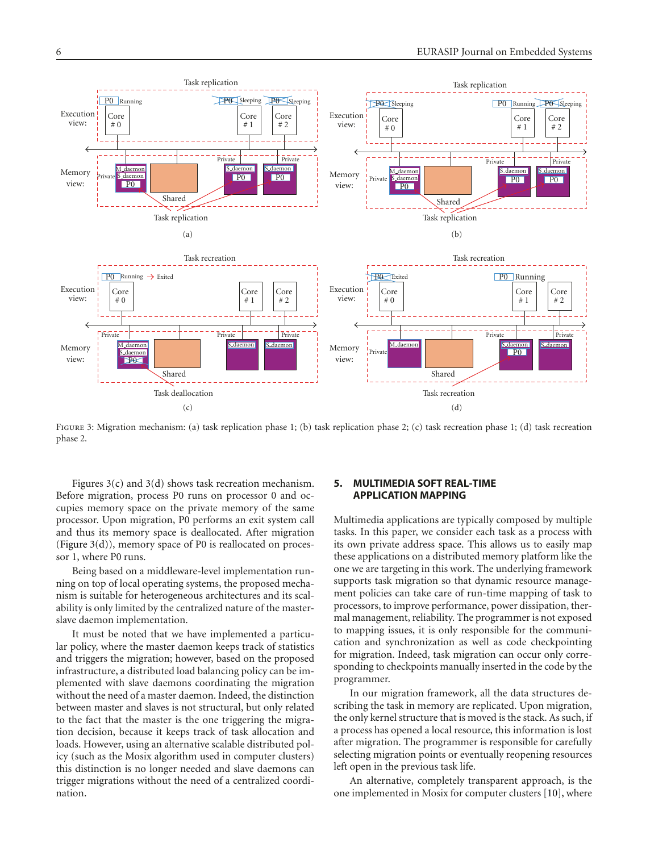

FIGURE 3: Migration mechanism: (a) task replication phase 1; (b) task replication phase 2; (c) task recreation phase 1; (d) task recreation phase 2.

Figures 3(c) and 3(d) shows task recreation mechanism. Before migration, process P0 runs on processor 0 and occupies memory space on the private memory of the same processor. Upon migration, P0 performs an exit system call and thus its memory space is deallocated. After migration (Figure  $3(d)$ ), memory space of P0 is reallocated on processor 1, where P0 runs.

Being based on a middleware-level implementation running on top of local operating systems, the proposed mechanism is suitable for heterogeneous architectures and its scalability is only limited by the centralized nature of the masterslave daemon implementation.

It must be noted that we have implemented a particular policy, where the master daemon keeps track of statistics and triggers the migration; however, based on the proposed infrastructure, a distributed load balancing policy can be implemented with slave daemons coordinating the migration without the need of a master daemon. Indeed, the distinction between master and slaves is not structural, but only related to the fact that the master is the one triggering the migration decision, because it keeps track of task allocation and loads. However, using an alternative scalable distributed policy (such as the Mosix algorithm used in computer clusters) this distinction is no longer needed and slave daemons can trigger migrations without the need of a centralized coordination.

## **5. MULTIMEDIA SOFT REAL-TIME APPLICATION MAPPING**

Multimedia applications are typically composed by multiple tasks. In this paper, we consider each task as a process with its own private address space. This allows us to easily map these applications on a distributed memory platform like the one we are targeting in this work. The underlying framework supports task migration so that dynamic resource management policies can take care of run-time mapping of task to processors, to improve performance, power dissipation, thermal management, reliability. The programmer is not exposed to mapping issues, it is only responsible for the communication and synchronization as well as code checkpointing for migration. Indeed, task migration can occur only corresponding to checkpoints manually inserted in the code by the programmer.

In our migration framework, all the data structures describing the task in memory are replicated. Upon migration, the only kernel structure that is moved is the stack. As such, if a process has opened a local resource, this information is lost after migration. The programmer is responsible for carefully selecting migration points or eventually reopening resources left open in the previous task life.

An alternative, completely transparent approach, is the one implemented in Mosix for computer clusters [10], where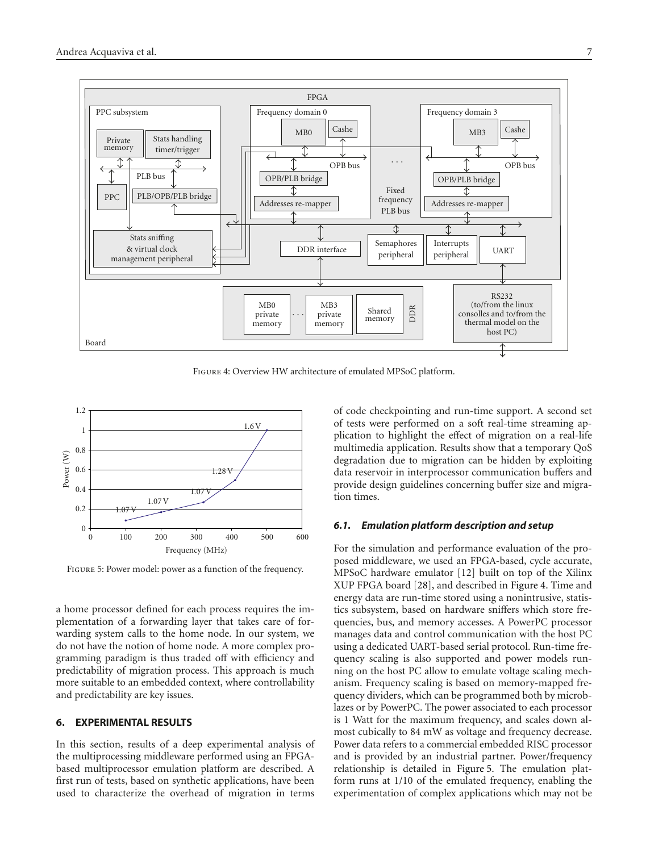![](_page_6_Figure_1.jpeg)

Figure 4: Overview HW architecture of emulated MPSoC platform.

![](_page_6_Figure_3.jpeg)

Figure 5: Power model: power as a function of the frequency.

a home processor defined for each process requires the implementation of a forwarding layer that takes care of forwarding system calls to the home node. In our system, we do not have the notion of home node. A more complex programming paradigm is thus traded off with efficiency and predictability of migration process. This approach is much more suitable to an embedded context, where controllability and predictability are key issues.

## **6. EXPERIMENTAL RESULTS**

In this section, results of a deep experimental analysis of the multiprocessing middleware performed using an FPGAbased multiprocessor emulation platform are described. A first run of tests, based on synthetic applications, have been used to characterize the overhead of migration in terms

of code checkpointing and run-time support. A second set of tests were performed on a soft real-time streaming application to highlight the effect of migration on a real-life multimedia application. Results show that a temporary QoS degradation due to migration can be hidden by exploiting data reservoir in interprocessor communication buffers and provide design guidelines concerning buffer size and migration times.

#### *6.1. Emulation platform description and setup*

For the simulation and performance evaluation of the proposed middleware, we used an FPGA-based, cycle accurate, MPSoC hardware emulator [12] built on top of the Xilinx XUP FPGA board [28], and described in Figure 4. Time and energy data are run-time stored using a nonintrusive, statistics subsystem, based on hardware sniffers which store frequencies, bus, and memory accesses. A PowerPC processor manages data and control communication with the host PC using a dedicated UART-based serial protocol. Run-time frequency scaling is also supported and power models running on the host PC allow to emulate voltage scaling mechanism. Frequency scaling is based on memory-mapped frequency dividers, which can be programmed both by microblazes or by PowerPC. The power associated to each processor is 1 Watt for the maximum frequency, and scales down almost cubically to 84 mW as voltage and frequency decrease. Power data refers to a commercial embedded RISC processor and is provided by an industrial partner. Power/frequency relationship is detailed in Figure 5. The emulation platform runs at 1/10 of the emulated frequency, enabling the experimentation of complex applications which may not be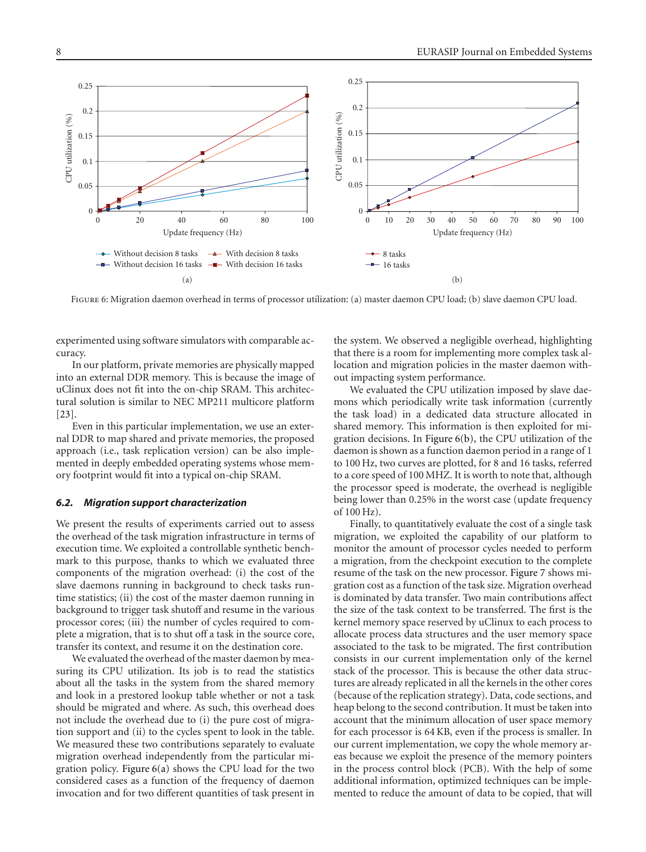![](_page_7_Figure_1.jpeg)

FIGURE 6: Migration daemon overhead in terms of processor utilization: (a) master daemon CPU load; (b) slave daemon CPU load.

experimented using software simulators with comparable accuracy.

In our platform, private memories are physically mapped into an external DDR memory. This is because the image of uClinux does not fit into the on-chip SRAM. This architectural solution is similar to NEC MP211 multicore platform [23].

Even in this particular implementation, we use an external DDR to map shared and private memories, the proposed approach (i.e., task replication version) can be also implemented in deeply embedded operating systems whose memory footprint would fit into a typical on-chip SRAM.

#### *6.2. Migration support characterization*

We present the results of experiments carried out to assess the overhead of the task migration infrastructure in terms of execution time. We exploited a controllable synthetic benchmark to this purpose, thanks to which we evaluated three components of the migration overhead: (i) the cost of the slave daemons running in background to check tasks runtime statistics; (ii) the cost of the master daemon running in background to trigger task shutoff and resume in the various processor cores; (iii) the number of cycles required to complete a migration, that is to shut off a task in the source core, transfer its context, and resume it on the destination core.

We evaluated the overhead of the master daemon by measuring its CPU utilization. Its job is to read the statistics about all the tasks in the system from the shared memory and look in a prestored lookup table whether or not a task should be migrated and where. As such, this overhead does not include the overhead due to (i) the pure cost of migration support and (ii) to the cycles spent to look in the table. We measured these two contributions separately to evaluate migration overhead independently from the particular migration policy. Figure 6(a) shows the CPU load for the two considered cases as a function of the frequency of daemon invocation and for two different quantities of task present in

the system. We observed a negligible overhead, highlighting that there is a room for implementing more complex task allocation and migration policies in the master daemon without impacting system performance.

We evaluated the CPU utilization imposed by slave daemons which periodically write task information (currently the task load) in a dedicated data structure allocated in shared memory. This information is then exploited for migration decisions. In Figure 6(b), the CPU utilization of the daemon is shown as a function daemon period in a range of 1 to 100 Hz, two curves are plotted, for 8 and 16 tasks, referred to a core speed of 100 MHZ. It is worth to note that, although the processor speed is moderate, the overhead is negligible being lower than 0.25% in the worst case (update frequency of 100 Hz).

Finally, to quantitatively evaluate the cost of a single task migration, we exploited the capability of our platform to monitor the amount of processor cycles needed to perform a migration, from the checkpoint execution to the complete resume of the task on the new processor. Figure 7 shows migration cost as a function of the task size. Migration overhead is dominated by data transfer. Two main contributions affect the size of the task context to be transferred. The first is the kernel memory space reserved by uClinux to each process to allocate process data structures and the user memory space associated to the task to be migrated. The first contribution consists in our current implementation only of the kernel stack of the processor. This is because the other data structures are already replicated in all the kernels in the other cores (because of the replication strategy). Data, code sections, and heap belong to the second contribution. It must be taken into account that the minimum allocation of user space memory for each processor is 64 KB, even if the process is smaller. In our current implementation, we copy the whole memory areas because we exploit the presence of the memory pointers in the process control block (PCB). With the help of some additional information, optimized techniques can be implemented to reduce the amount of data to be copied, that will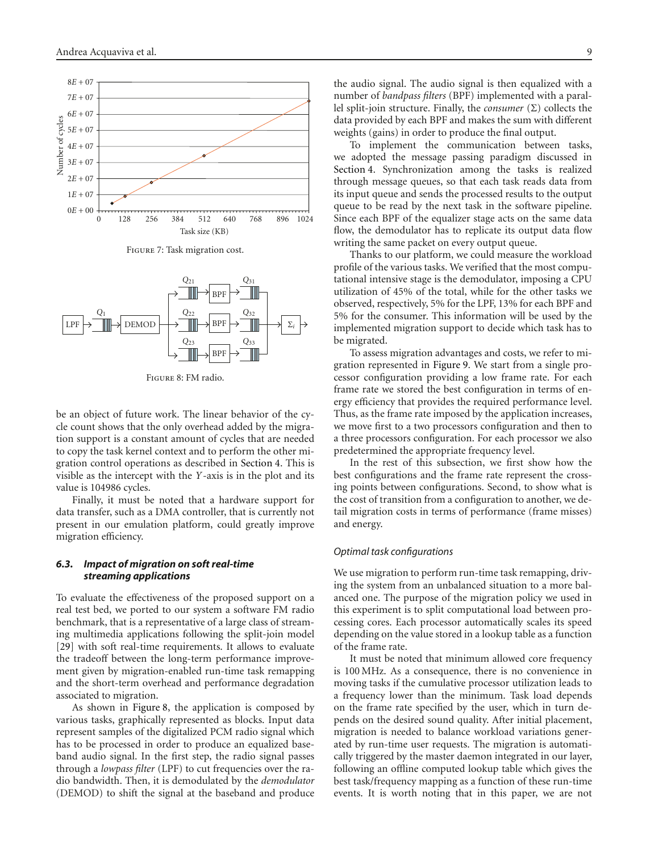![](_page_8_Figure_1.jpeg)

Figure 7: Task migration cost.

![](_page_8_Figure_3.jpeg)

Figure 8: FM radio.

be an object of future work. The linear behavior of the cycle count shows that the only overhead added by the migration support is a constant amount of cycles that are needed to copy the task kernel context and to perform the other migration control operations as described in Section 4. This is visible as the intercept with the *Y*-axis is in the plot and its value is 104986 cycles.

Finally, it must be noted that a hardware support for data transfer, such as a DMA controller, that is currently not present in our emulation platform, could greatly improve migration efficiency.

## *6.3. Impact of migration on soft real-time streaming applications*

To evaluate the effectiveness of the proposed support on a real test bed, we ported to our system a software FM radio benchmark, that is a representative of a large class of streaming multimedia applications following the split-join model [29] with soft real-time requirements. It allows to evaluate the tradeoff between the long-term performance improvement given by migration-enabled run-time task remapping and the short-term overhead and performance degradation associated to migration.

As shown in Figure 8, the application is composed by various tasks, graphically represented as blocks. Input data represent samples of the digitalized PCM radio signal which has to be processed in order to produce an equalized baseband audio signal. In the first step, the radio signal passes through a *lowpass filter* (LPF) to cut frequencies over the radio bandwidth. Then, it is demodulated by the *demodulator* (DEMOD) to shift the signal at the baseband and produce the audio signal. The audio signal is then equalized with a number of *bandpass filters* (BPF) implemented with a parallel split-join structure. Finally, the *consumer* (Σ) collects the data provided by each BPF and makes the sum with different weights (gains) in order to produce the final output.

To implement the communication between tasks, we adopted the message passing paradigm discussed in Section 4. Synchronization among the tasks is realized through message queues, so that each task reads data from its input queue and sends the processed results to the output queue to be read by the next task in the software pipeline. Since each BPF of the equalizer stage acts on the same data flow, the demodulator has to replicate its output data flow writing the same packet on every output queue.

Thanks to our platform, we could measure the workload profile of the various tasks. We verified that the most computational intensive stage is the demodulator, imposing a CPU utilization of 45% of the total, while for the other tasks we observed, respectively, 5% for the LPF, 13% for each BPF and 5% for the consumer. This information will be used by the implemented migration support to decide which task has to be migrated.

To assess migration advantages and costs, we refer to migration represented in Figure 9. We start from a single processor configuration providing a low frame rate. For each frame rate we stored the best configuration in terms of energy efficiency that provides the required performance level. Thus, as the frame rate imposed by the application increases, we move first to a two processors configuration and then to a three processors configuration. For each processor we also predetermined the appropriate frequency level.

In the rest of this subsection, we first show how the best configurations and the frame rate represent the crossing points between configurations. Second, to show what is the cost of transition from a configuration to another, we detail migration costs in terms of performance (frame misses) and energy.

## *Optimal task configurations*

We use migration to perform run-time task remapping, driving the system from an unbalanced situation to a more balanced one. The purpose of the migration policy we used in this experiment is to split computational load between processing cores. Each processor automatically scales its speed depending on the value stored in a lookup table as a function of the frame rate.

It must be noted that minimum allowed core frequency is 100 MHz. As a consequence, there is no convenience in moving tasks if the cumulative processor utilization leads to a frequency lower than the minimum. Task load depends on the frame rate specified by the user, which in turn depends on the desired sound quality. After initial placement, migration is needed to balance workload variations generated by run-time user requests. The migration is automatically triggered by the master daemon integrated in our layer, following an offline computed lookup table which gives the best task/frequency mapping as a function of these run-time events. It is worth noting that in this paper, we are not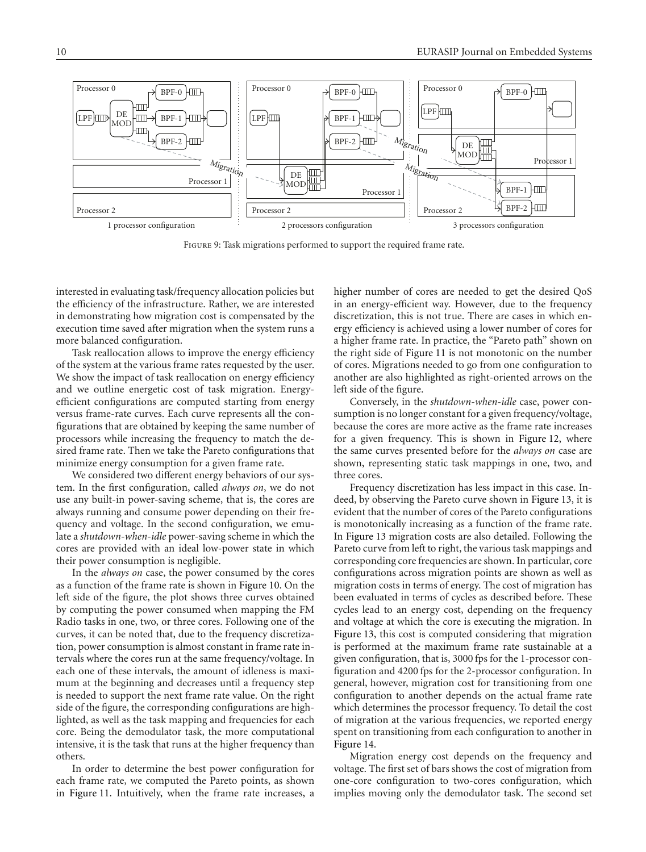![](_page_9_Figure_1.jpeg)

Figure 9: Task migrations performed to support the required frame rate.

interested in evaluating task/frequency allocation policies but the efficiency of the infrastructure. Rather, we are interested in demonstrating how migration cost is compensated by the execution time saved after migration when the system runs a more balanced configuration.

Task reallocation allows to improve the energy efficiency of the system at the various frame rates requested by the user. We show the impact of task reallocation on energy efficiency and we outline energetic cost of task migration. Energyefficient configurations are computed starting from energy versus frame-rate curves. Each curve represents all the configurations that are obtained by keeping the same number of processors while increasing the frequency to match the desired frame rate. Then we take the Pareto configurations that minimize energy consumption for a given frame rate.

We considered two different energy behaviors of our system. In the first configuration, called *always on*, we do not use any built-in power-saving scheme, that is, the cores are always running and consume power depending on their frequency and voltage. In the second configuration, we emulate a *shutdown-when-idle* power-saving scheme in which the cores are provided with an ideal low-power state in which their power consumption is negligible.

In the *always on* case, the power consumed by the cores as a function of the frame rate is shown in Figure 10. On the left side of the figure, the plot shows three curves obtained by computing the power consumed when mapping the FM Radio tasks in one, two, or three cores. Following one of the curves, it can be noted that, due to the frequency discretization, power consumption is almost constant in frame rate intervals where the cores run at the same frequency/voltage. In each one of these intervals, the amount of idleness is maximum at the beginning and decreases until a frequency step is needed to support the next frame rate value. On the right side of the figure, the corresponding configurations are highlighted, as well as the task mapping and frequencies for each core. Being the demodulator task, the more computational intensive, it is the task that runs at the higher frequency than others.

In order to determine the best power configuration for each frame rate, we computed the Pareto points, as shown in Figure 11. Intuitively, when the frame rate increases, a

higher number of cores are needed to get the desired QoS in an energy-efficient way. However, due to the frequency discretization, this is not true. There are cases in which energy efficiency is achieved using a lower number of cores for a higher frame rate. In practice, the "Pareto path" shown on the right side of Figure 11 is not monotonic on the number of cores. Migrations needed to go from one configuration to another are also highlighted as right-oriented arrows on the left side of the figure.

Conversely, in the *shutdown-when-idle* case, power consumption is no longer constant for a given frequency/voltage, because the cores are more active as the frame rate increases for a given frequency. This is shown in Figure 12, where the same curves presented before for the *always on* case are shown, representing static task mappings in one, two, and three cores.

Frequency discretization has less impact in this case. Indeed, by observing the Pareto curve shown in Figure 13, it is evident that the number of cores of the Pareto configurations is monotonically increasing as a function of the frame rate. In Figure 13 migration costs are also detailed. Following the Pareto curve from left to right, the various task mappings and corresponding core frequencies are shown. In particular, core configurations across migration points are shown as well as migration costs in terms of energy. The cost of migration has been evaluated in terms of cycles as described before. These cycles lead to an energy cost, depending on the frequency and voltage at which the core is executing the migration. In Figure 13, this cost is computed considering that migration is performed at the maximum frame rate sustainable at a given configuration, that is, 3000 fps for the 1-processor configuration and 4200 fps for the 2-processor configuration. In general, however, migration cost for transitioning from one configuration to another depends on the actual frame rate which determines the processor frequency. To detail the cost of migration at the various frequencies, we reported energy spent on transitioning from each configuration to another in Figure 14.

Migration energy cost depends on the frequency and voltage. The first set of bars shows the cost of migration from one-core configuration to two-cores configuration, which implies moving only the demodulator task. The second set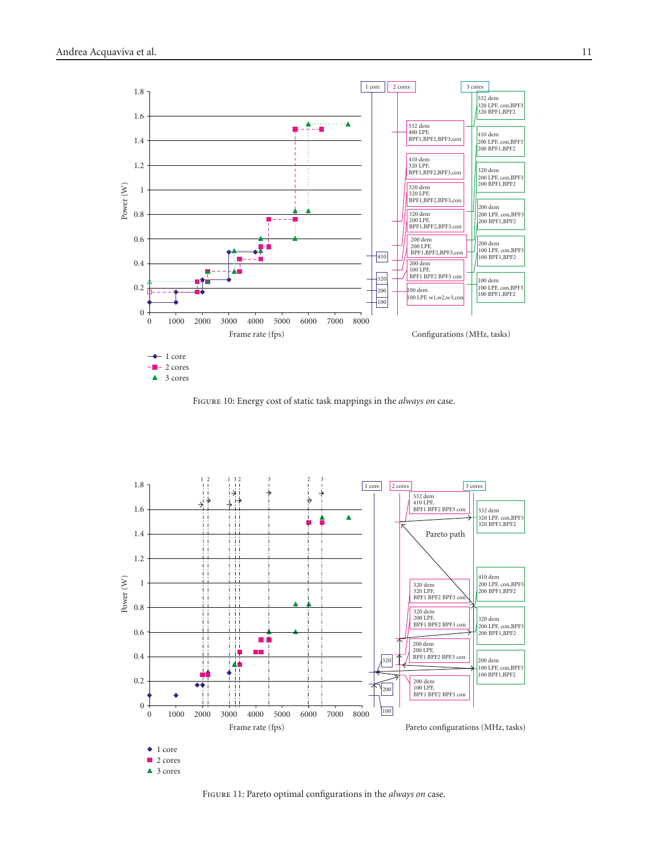![](_page_10_Figure_1.jpeg)

Figure 10: Energy cost of static task mappings in the *always on* case.

![](_page_10_Figure_3.jpeg)

Figure 11: Pareto optimal configurations in the *always on* case.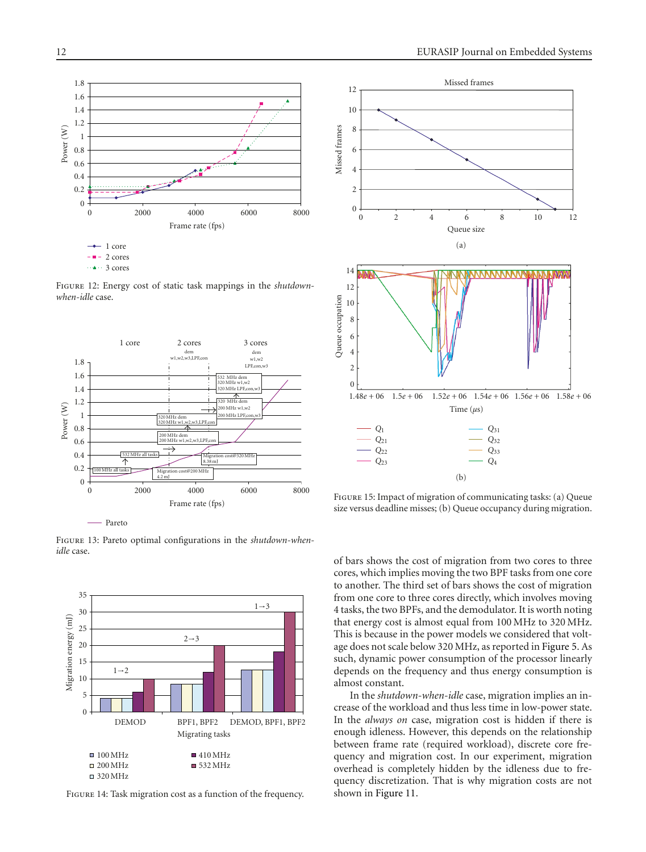![](_page_11_Figure_1.jpeg)

Figure 12: Energy cost of static task mappings in the *shutdownwhen-idle* case.

![](_page_11_Figure_3.jpeg)

- Pareto

Figure 13: Pareto optimal configurations in the *shutdown-whenidle* case.

![](_page_11_Figure_6.jpeg)

Figure 14: Task migration cost as a function of the frequency.

![](_page_11_Figure_8.jpeg)

Figure 15: Impact of migration of communicating tasks: (a) Queue size versus deadline misses; (b) Queue occupancy during migration.

of bars shows the cost of migration from two cores to three cores, which implies moving the two BPF tasks from one core to another. The third set of bars shows the cost of migration from one core to three cores directly, which involves moving 4 tasks, the two BPFs, and the demodulator. It is worth noting that energy cost is almost equal from 100 MHz to 320 MHz. This is because in the power models we considered that voltage does not scale below 320 MHz, as reported in Figure 5. As such, dynamic power consumption of the processor linearly depends on the frequency and thus energy consumption is almost constant.

In the *shutdown-when-idle* case, migration implies an increase of the workload and thus less time in low-power state. In the *always on* case, migration cost is hidden if there is enough idleness. However, this depends on the relationship between frame rate (required workload), discrete core frequency and migration cost. In our experiment, migration overhead is completely hidden by the idleness due to frequency discretization. That is why migration costs are not shown in Figure 11.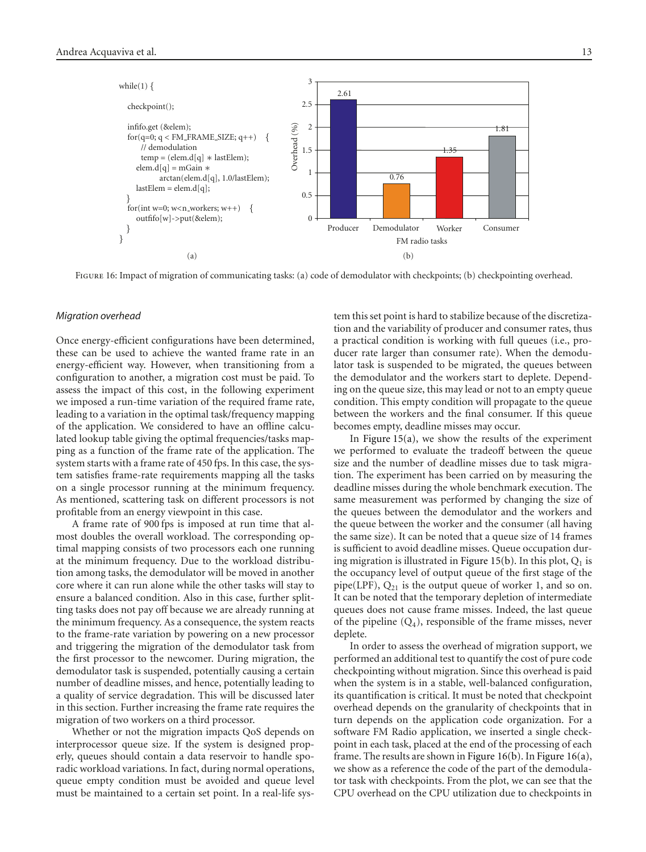![](_page_12_Figure_1.jpeg)

Figure 16: Impact of migration of communicating tasks: (a) code of demodulator with checkpoints; (b) checkpointing overhead.

#### *Migration overhead*

Once energy-efficient configurations have been determined, these can be used to achieve the wanted frame rate in an energy-efficient way. However, when transitioning from a configuration to another, a migration cost must be paid. To assess the impact of this cost, in the following experiment we imposed a run-time variation of the required frame rate, leading to a variation in the optimal task/frequency mapping of the application. We considered to have an offline calculated lookup table giving the optimal frequencies/tasks mapping as a function of the frame rate of the application. The system starts with a frame rate of 450 fps. In this case, the system satisfies frame-rate requirements mapping all the tasks on a single processor running at the minimum frequency. As mentioned, scattering task on different processors is not profitable from an energy viewpoint in this case.

A frame rate of 900 fps is imposed at run time that almost doubles the overall workload. The corresponding optimal mapping consists of two processors each one running at the minimum frequency. Due to the workload distribution among tasks, the demodulator will be moved in another core where it can run alone while the other tasks will stay to ensure a balanced condition. Also in this case, further splitting tasks does not pay off because we are already running at the minimum frequency. As a consequence, the system reacts to the frame-rate variation by powering on a new processor and triggering the migration of the demodulator task from the first processor to the newcomer. During migration, the demodulator task is suspended, potentially causing a certain number of deadline misses, and hence, potentially leading to a quality of service degradation. This will be discussed later in this section. Further increasing the frame rate requires the migration of two workers on a third processor.

Whether or not the migration impacts QoS depends on interprocessor queue size. If the system is designed properly, queues should contain a data reservoir to handle sporadic workload variations. In fact, during normal operations, queue empty condition must be avoided and queue level must be maintained to a certain set point. In a real-life system this set point is hard to stabilize because of the discretization and the variability of producer and consumer rates, thus a practical condition is working with full queues (i.e., producer rate larger than consumer rate). When the demodulator task is suspended to be migrated, the queues between the demodulator and the workers start to deplete. Depending on the queue size, this may lead or not to an empty queue condition. This empty condition will propagate to the queue between the workers and the final consumer. If this queue becomes empty, deadline misses may occur.

In Figure  $15(a)$ , we show the results of the experiment we performed to evaluate the tradeoff between the queue size and the number of deadline misses due to task migration. The experiment has been carried on by measuring the deadline misses during the whole benchmark execution. The same measurement was performed by changing the size of the queues between the demodulator and the workers and the queue between the worker and the consumer (all having the same size). It can be noted that a queue size of 14 frames is sufficient to avoid deadline misses. Queue occupation during migration is illustrated in Figure 15(b). In this plot,  $Q_1$  is the occupancy level of output queue of the first stage of the pipe(LPF),  $Q_{21}$  is the output queue of worker 1, and so on. It can be noted that the temporary depletion of intermediate queues does not cause frame misses. Indeed, the last queue of the pipeline  $(Q_4)$ , responsible of the frame misses, never deplete.

In order to assess the overhead of migration support, we performed an additional test to quantify the cost of pure code checkpointing without migration. Since this overhead is paid when the system is in a stable, well-balanced configuration, its quantification is critical. It must be noted that checkpoint overhead depends on the granularity of checkpoints that in turn depends on the application code organization. For a software FM Radio application, we inserted a single checkpoint in each task, placed at the end of the processing of each frame. The results are shown in Figure 16(b). In Figure 16(a), we show as a reference the code of the part of the demodulator task with checkpoints. From the plot, we can see that the CPU overhead on the CPU utilization due to checkpoints in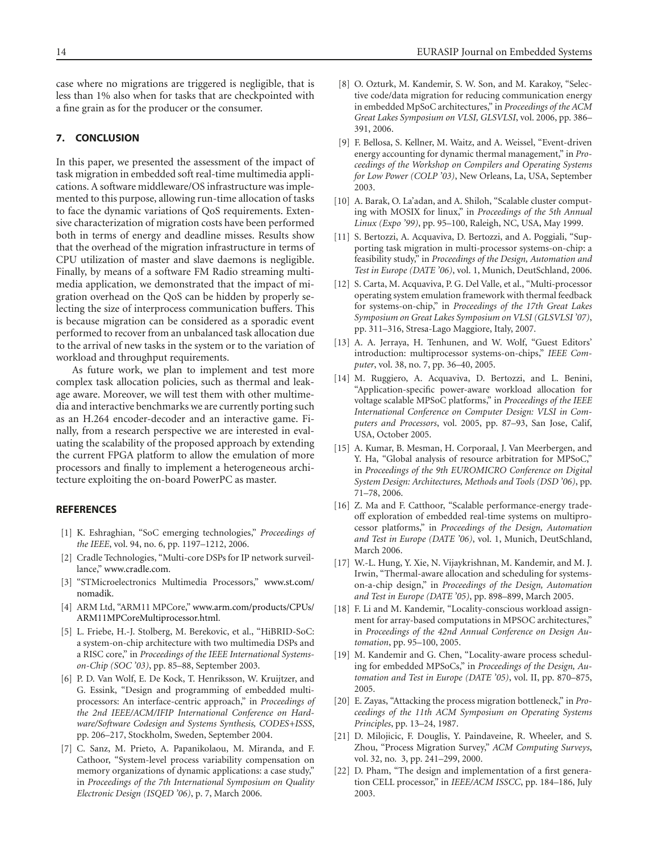case where no migrations are triggered is negligible, that is less than 1% also when for tasks that are checkpointed with a fine grain as for the producer or the consumer.

## **7. CONCLUSION**

In this paper, we presented the assessment of the impact of task migration in embedded soft real-time multimedia applications. A software middleware/OS infrastructure was implemented to this purpose, allowing run-time allocation of tasks to face the dynamic variations of QoS requirements. Extensive characterization of migration costs have been performed both in terms of energy and deadline misses. Results show that the overhead of the migration infrastructure in terms of CPU utilization of master and slave daemons is negligible. Finally, by means of a software FM Radio streaming multimedia application, we demonstrated that the impact of migration overhead on the QoS can be hidden by properly selecting the size of interprocess communication buffers. This is because migration can be considered as a sporadic event performed to recover from an unbalanced task allocation due to the arrival of new tasks in the system or to the variation of workload and throughput requirements.

As future work, we plan to implement and test more complex task allocation policies, such as thermal and leakage aware. Moreover, we will test them with other multimedia and interactive benchmarks we are currently porting such as an H.264 encoder-decoder and an interactive game. Finally, from a research perspective we are interested in evaluating the scalability of the proposed approach by extending the current FPGA platform to allow the emulation of more processors and finally to implement a heterogeneous architecture exploiting the on-board PowerPC as master.

#### **REFERENCES**

- [1] K. Eshraghian, "SoC emerging technologies," *Proceedings of the IEEE*, vol. 94, no. 6, pp. 1197–1212, 2006.
- [2] Cradle Technologies, "Multi-core DSPs for IP network surveillance," www.cradle.com.
- [3] "STMicroelectronics Multimedia Processors," www.st.com/ nomadik.
- [4] ARM Ltd, "ARM11 MPCore," www.arm.com/products/CPUs/ ARM11MPCoreMultiprocessor.html.
- [5] L. Friebe, H.-J. Stolberg, M. Berekovic, et al., "HiBRID-SoC: a system-on-chip architecture with two multimedia DSPs and a RISC core," in *Proceedings of the IEEE International Systemson-Chip (SOC '03)*, pp. 85–88, September 2003.
- [6] P. D. Van Wolf, E. De Kock, T. Henriksson, W. Kruijtzer, and G. Essink, "Design and programming of embedded multiprocessors: An interface-centric approach," in *Proceedings of the 2nd IEEE/ACM/IFIP International Conference on Hardware/Software Codesign and Systems Synthesis, CODES+ISSS*, pp. 206–217, Stockholm, Sweden, September 2004.
- [7] C. Sanz, M. Prieto, A. Papanikolaou, M. Miranda, and F. Cathoor, "System-level process variability compensation on memory organizations of dynamic applications: a case study," in *Proceedings of the 7th International Symposium on Quality Electronic Design (ISQED '06)*, p. 7, March 2006.
- [8] O. Ozturk, M. Kandemir, S. W. Son, and M. Karakoy, "Selective code/data migration for reducing communication energy in embedded MpSoC architectures," in *Proceedings of the ACM Great Lakes Symposium on VLSI, GLSVLSI*, vol. 2006, pp. 386– 391, 2006.
- [9] F. Bellosa, S. Kellner, M. Waitz, and A. Weissel, "Event-driven energy accounting for dynamic thermal management," in *Proceedings of the Workshop on Compilers and Operating Systems for Low Power (COLP '03)*, New Orleans, La, USA, September 2003.
- [10] A. Barak, O. La'adan, and A. Shiloh, "Scalable cluster computing with MOSIX for linux," in *Proceedings of the 5th Annual Linux (Expo '99)*, pp. 95–100, Raleigh, NC, USA, May 1999.
- [11] S. Bertozzi, A. Acquaviva, D. Bertozzi, and A. Poggiali, "Supporting task migration in multi-processor systems-on-chip: a feasibility study," in *Proceedings of the Design, Automation and Test in Europe (DATE '06)*, vol. 1, Munich, DeutSchland, 2006.
- [12] S. Carta, M. Acquaviva, P. G. Del Valle, et al., "Multi-processor operating system emulation framework with thermal feedback for systems-on-chip," in *Proceedings of the 17th Great Lakes Symposium on Great Lakes Symposium on VLSI (GLSVLSI '07)*, pp. 311–316, Stresa-Lago Maggiore, Italy, 2007.
- [13] A. A. Jerraya, H. Tenhunen, and W. Wolf, "Guest Editors' introduction: multiprocessor systems-on-chips," *IEEE Computer*, vol. 38, no. 7, pp. 36–40, 2005.
- [14] M. Ruggiero, A. Acquaviva, D. Bertozzi, and L. Benini, "Application-specific power-aware workload allocation for voltage scalable MPSoC platforms," in *Proceedings of the IEEE International Conference on Computer Design: VLSI in Computers and Processors*, vol. 2005, pp. 87–93, San Jose, Calif, USA, October 2005.
- [15] A. Kumar, B. Mesman, H. Corporaal, J. Van Meerbergen, and Y. Ha, "Global analysis of resource arbitration for MPSoC," in *Proceedings of the 9th EUROMICRO Conference on Digital System Design: Architectures, Methods and Tools (DSD '06)*, pp. 71–78, 2006.
- [16] Z. Ma and F. Catthoor, "Scalable performance-energy tradeoff exploration of embedded real-time systems on multiprocessor platforms," in *Proceedings of the Design, Automation and Test in Europe (DATE '06)*, vol. 1, Munich, DeutSchland, March 2006.
- [17] W.-L. Hung, Y. Xie, N. Vijaykrishnan, M. Kandemir, and M. J. Irwin, "Thermal-aware allocation and scheduling for systemson-a-chip design," in *Proceedings of the Design, Automation and Test in Europe (DATE '05)*, pp. 898–899, March 2005.
- [18] F. Li and M. Kandemir, "Locality-conscious workload assignment for array-based computations in MPSOC architectures," in *Proceedings of the 42nd Annual Conference on Design Automation*, pp. 95–100, 2005.
- [19] M. Kandemir and G. Chen, "Locality-aware process scheduling for embedded MPSoCs," in *Proceedings of the Design, Automation and Test in Europe (DATE '05)*, vol. II, pp. 870–875, 2005.
- [20] E. Zayas, "Attacking the process migration bottleneck," in *Proceedings of the 11th ACM Symposium on Operating Systems Principles*, pp. 13–24, 1987.
- [21] D. Milojicic, F. Douglis, Y. Paindaveine, R. Wheeler, and S. Zhou, "Process Migration Survey," *ACM Computing Surveys*, vol. 32, no. 3, pp. 241–299, 2000.
- [22] D. Pham, "The design and implementation of a first generation CELL processor," in *IEEE/ACM ISSCC*, pp. 184–186, July 2003.